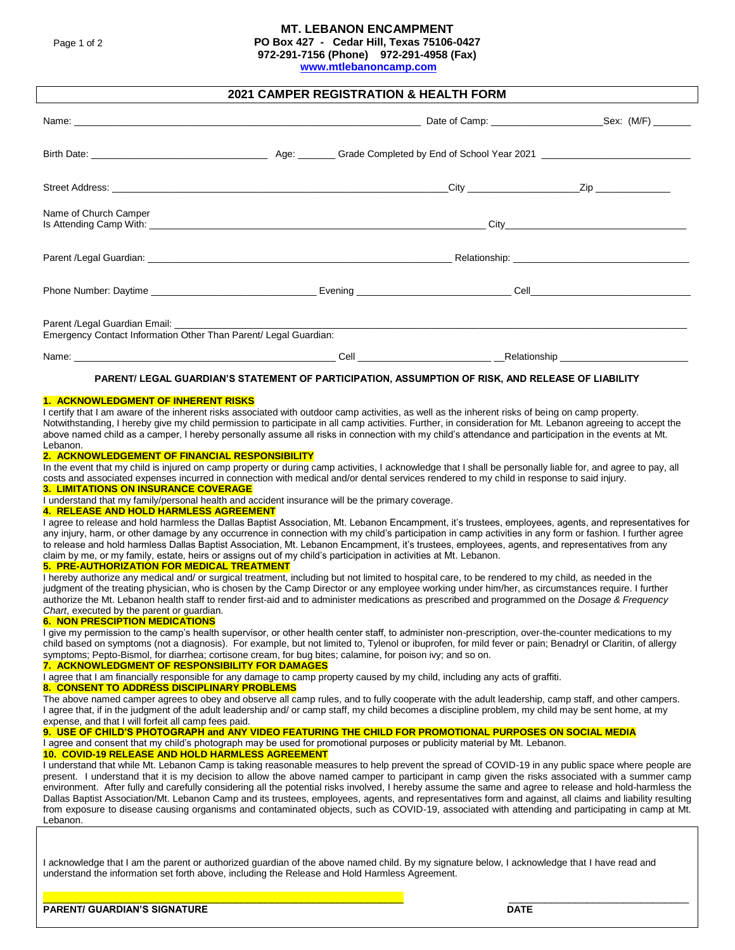# **MT. LEBANON ENCAMPMENT**

**PO Box 427 - Cedar Hill, Texas 75106-0427**

**972-291-7156 (Phone) 972-291-4958 (Fax)** 

**[www.mtlebanoncamp.com](http://www.mtlebanoncamp.com/)**

# **2021 CAMPER REGISTRATION & HEALTH FORM**

| Name of Church Camper                                            |  |  |                                           |  |  |  |  |
|------------------------------------------------------------------|--|--|-------------------------------------------|--|--|--|--|
|                                                                  |  |  |                                           |  |  |  |  |
|                                                                  |  |  | <b>Cell Cell Cell Cell Cell Cell Cell</b> |  |  |  |  |
| Emergency Contact Information Other Than Parent/ Legal Guardian: |  |  |                                           |  |  |  |  |
|                                                                  |  |  |                                           |  |  |  |  |

#### **PARENT/ LEGAL GUARDIAN'S STATEMENT OF PARTICIPATION, ASSUMPTION OF RISK, AND RELEASE OF LIABILITY**

#### **1. ACKNOWLEDGMENT OF INHERENT RISKS**

I certify that I am aware of the inherent risks associated with outdoor camp activities, as well as the inherent risks of being on camp property. Notwithstanding, I hereby give my child permission to participate in all camp activities. Further, in consideration for Mt. Lebanon agreeing to accept the above named child as a camper, I hereby personally assume all risks in connection with my child's attendance and participation in the events at Mt. Lebanon.

#### **2. ACKNOWLEDGEMENT OF FINANCIAL RESPONSIBILITY**

In the event that my child is injured on camp property or during camp activities, I acknowledge that I shall be personally liable for, and agree to pay, all costs and associated expenses incurred in connection with medical and/or dental services rendered to my child in response to said injury.

### **3. LIMITATIONS ON INSURANCE COVERAGE**

I understand that my family/personal health and accident insurance will be the primary coverage.

### **4. RELEASE AND HOLD HARMLESS AGREEMENT**

I agree to release and hold harmless the Dallas Baptist Association, Mt. Lebanon Encampment, it's trustees, employees, agents, and representatives for any injury, harm, or other damage by any occurrence in connection with my child's participation in camp activities in any form or fashion. I further agree to release and hold harmless Dallas Baptist Association, Mt. Lebanon Encampment, it's trustees, employees, agents, and representatives from any claim by me, or my family, estate, heirs or assigns out of my child's participation in activities at Mt. Lebanon.

### **5. PRE-AUTHORIZATION FOR MEDICAL TREATMENT**

I hereby authorize any medical and/ or surgical treatment, including but not limited to hospital care, to be rendered to my child, as needed in the judgment of the treating physician, who is chosen by the Camp Director or any employee working under him/her, as circumstances require. I further authorize the Mt. Lebanon health staff to render first-aid and to administer medications as prescribed and programmed on the *Dosage & Frequency Chart*, executed by the parent or guardian.

### **6. NON PRESCIPTION MEDICATIONS**

I give my permission to the camp's health supervisor, or other health center staff, to administer non-prescription, over-the-counter medications to my child based on symptoms (not a diagnosis). For example, but not limited to, Tylenol or ibuprofen, for mild fever or pain; Benadryl or Claritin, of allergy symptoms; Pepto-Bismol, for diarrhea; cortisone cream, for bug bites; calamine, for poison ivy; and so on.

#### **7. ACKNOWLEDGMENT OF RESPONSIBILITY FOR DAMAGES**

I agree that I am financially responsible for any damage to camp property caused by my child, including any acts of graffiti.

#### **8. CONSENT TO ADDRESS DISCIPLINARY PROBLEMS**

The above named camper agrees to obey and observe all camp rules, and to fully cooperate with the adult leadership, camp staff, and other campers. I agree that, if in the judgment of the adult leadership and/ or camp staff, my child becomes a discipline problem, my child may be sent home, at my expense, and that I will forfeit all camp fees paid.

# **9. USE OF CHILD'S PHOTOGRAPH and ANY VIDEO FEATURING THE CHILD FOR PROMOTIONAL PURPOSES ON SOCIAL MEDIA**

I agree and consent that my child's photograph may be used for promotional purposes or publicity material by Mt. Lebanon.

# **10. COVID-19 RELEASE AND HOLD HARMLESS AGREEMENT**

I understand that while Mt. Lebanon Camp is taking reasonable measures to help prevent the spread of COVID-19 in any public space where people are present. I understand that it is my decision to allow the above named camper to participant in camp given the risks associated with a summer camp environment. After fully and carefully considering all the potential risks involved, I hereby assume the same and agree to release and hold-harmless the Dallas Baptist Association/Mt. Lebanon Camp and its trustees, employees, agents, and representatives form and against, all claims and liability resulting from exposure to disease causing organisms and contaminated objects, such as COVID-19, associated with attending and participating in camp at Mt. Lebanon.

I acknowledge that I am the parent or authorized guardian of the above named child. By my signature below, I acknowledge that I have read and understand the information set forth above, including the Release and Hold Harmless Agreement.

\_\_\_\_\_\_\_\_\_\_\_\_\_\_\_\_\_\_\_\_\_\_\_\_\_\_\_\_\_\_\_\_\_\_\_\_\_\_\_\_\_\_\_\_\_\_\_\_\_\_\_\_\_\_\_\_\_\_\_\_ \_\_\_\_\_\_\_\_\_\_\_\_\_\_\_\_\_\_\_\_\_\_\_\_\_\_\_\_\_\_